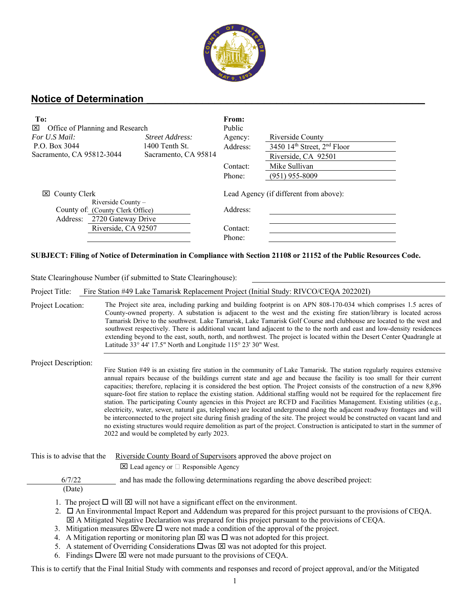

## **Notice of Determination \_\_\_\_\_\_\_\_\_\_\_\_\_\_\_\_\_\_\_\_\_\_\_\_\_\_\_\_\_\_\_\_\_\_\_\_\_\_\_\_\_\_\_\_\_**

| To:<br>⊠<br>Office of Planning and Research                                                                          |                      | From:<br>Public                                    |                                 |
|----------------------------------------------------------------------------------------------------------------------|----------------------|----------------------------------------------------|---------------------------------|
| For U.S Mail:                                                                                                        | Street Address:      | Agency:                                            | Riverside County                |
| P.O. Box 3044                                                                                                        | 1400 Tenth St.       | Address:                                           | 3450 $14th$ Street, $2nd$ Floor |
| Sacramento, CA 95812-3044                                                                                            | Sacramento, CA 95814 |                                                    | Riverside, CA 92501             |
|                                                                                                                      |                      | Contact:                                           | Mike Sullivan                   |
|                                                                                                                      |                      | Phone:                                             | $(951)$ 955-8009                |
| $\boxtimes$ County Clerk<br>Riverside County -<br>County of: (County Clerk Office)<br>2720 Gateway Drive<br>Address: |                      | Lead Agency (if different from above):<br>Address: |                                 |
| Riverside, CA 92507                                                                                                  |                      | Contact:                                           |                                 |
|                                                                                                                      |                      | Phone:                                             |                                 |

## **SUBJECT: Filing of Notice of Determination in Compliance with Section 21108 or 21152 of the Public Resources Code.**

State Clearinghouse Number (if submitted to State Clearinghouse):

Project Title: Fire Station #49 Lake Tamarisk Replacement Project (Initial Study: RIVCO/CEQA 202202I)

Project Location: The Project site area, including parking and building footprint is on APN 808-170-034 which comprises 1.5 acres of County-owned property. A substation is adjacent to the west and the existing fire station/library is located across Tamarisk Drive to the southwest. Lake Tamarisk, Lake Tamarisk Golf Course and clubhouse are located to the west and southwest respectively. There is additional vacant land adjacent to the to the north and east and low-density residences extending beyond to the east, south, north, and northwest. The project is located within the Desert Center Quadrangle at Latitude 33° 44' 17.5" North and Longitude 115° 23' 30" West.

Project Description:

Fire Station #49 is an existing fire station in the community of Lake Tamarisk. The station regularly requires extensive annual repairs because of the buildings current state and age and because the facility is too small for their current capacities; therefore, replacing it is considered the best option. The Project consists of the construction of a new 8,896 square-foot fire station to replace the existing station. Additional staffing would not be required for the replacement fire station. The participating County agencies in this Project are RCFD and Facilities Management. Existing utilities (e.g., electricity, water, sewer, natural gas, telephone) are located underground along the adjacent roadway frontages and will be interconnected to the project site during finish grading of the site. The project would be constructed on vacant land and no existing structures would require demolition as part of the project. Construction is anticipated to start in the summer of 2022 and would be completed by early 2023.

This is to advise that the Riverside County Board of Supervisors approved the above project on

 $\boxtimes$  Lead agency or  $\Box$  Responsible Agency

and has made the following determinations regarding the above described project:

(Date)

- 1. The project  $\Box$  will  $\boxtimes$  will not have a significant effect on the environment.
- 2.  $\Box$  An Environmental Impact Report and Addendum was prepared for this project pursuant to the provisions of CEQA.  $\boxtimes$  A Mitigated Negative Declaration was prepared for this project pursuant to the provisions of CEQA.
- 3. Mitigation measures  $\boxtimes$  were  $\square$  were not made a condition of the approval of the project.
- 4. A Mitigation reporting or monitoring plan  $\boxtimes$  was  $\square$  was not adopted for this project.
- 5. A statement of Overriding Considerations  $\Box$  was  $\boxtimes$  was not adopted for this project.
- 6. Findings  $\square$  were  $\square$  were not made pursuant to the provisions of CEQA.

This is to certify that the Final Initial Study with comments and responses and record of project approval, and/or the Mitigated